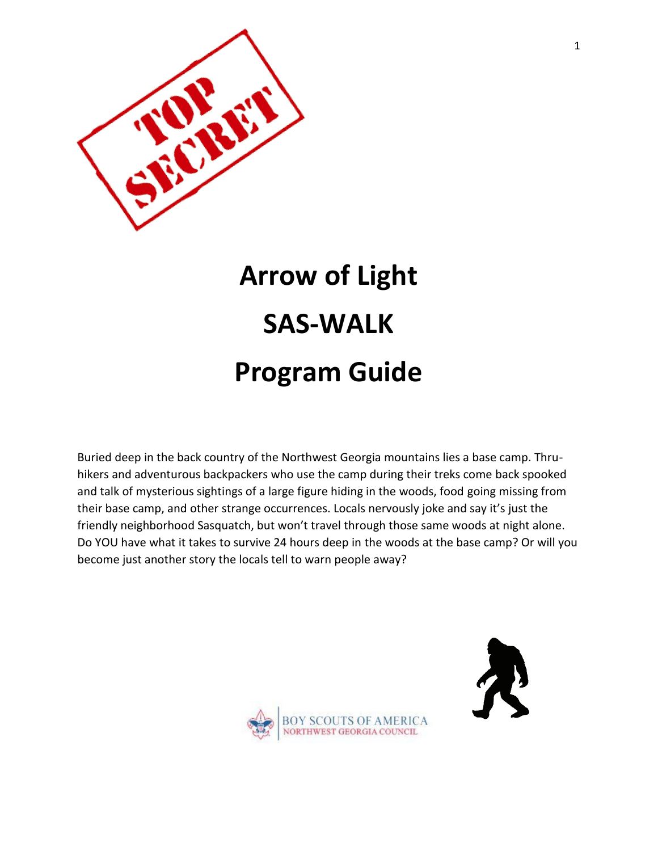

# **Arrow of Light SAS-WALK Program Guide**

Buried deep in the back country of the Northwest Georgia mountains lies a base camp. Thruhikers and adventurous backpackers who use the camp during their treks come back spooked and talk of mysterious sightings of a large figure hiding in the woods, food going missing from their base camp, and other strange occurrences. Locals nervously joke and say it's just the friendly neighborhood Sasquatch, but won't travel through those same woods at night alone. Do YOU have what it takes to survive 24 hours deep in the woods at the base camp? Or will you become just another story the locals tell to warn people away?



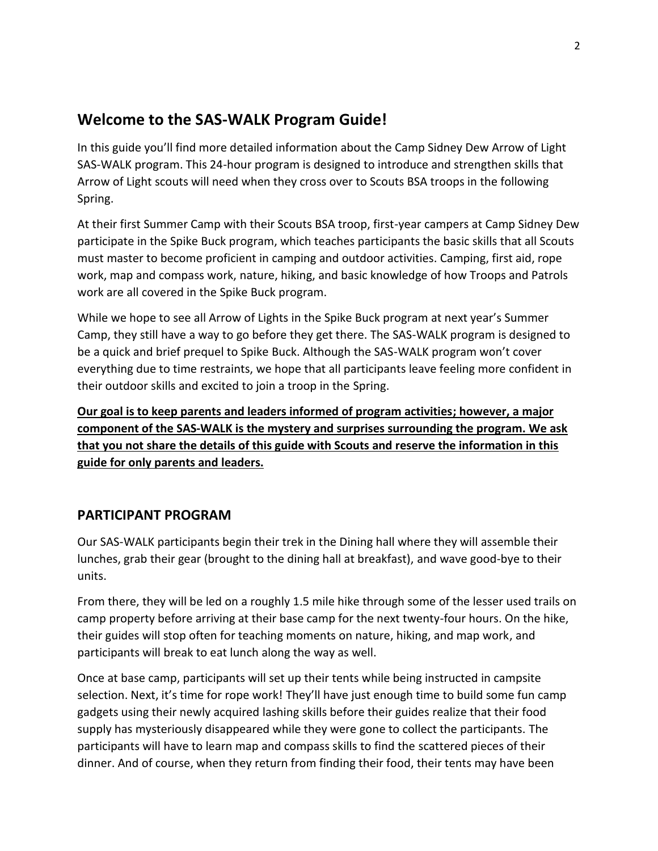# **Welcome to the SAS-WALK Program Guide!**

In this guide you'll find more detailed information about the Camp Sidney Dew Arrow of Light SAS-WALK program. This 24-hour program is designed to introduce and strengthen skills that Arrow of Light scouts will need when they cross over to Scouts BSA troops in the following Spring.

At their first Summer Camp with their Scouts BSA troop, first-year campers at Camp Sidney Dew participate in the Spike Buck program, which teaches participants the basic skills that all Scouts must master to become proficient in camping and outdoor activities. Camping, first aid, rope work, map and compass work, nature, hiking, and basic knowledge of how Troops and Patrols work are all covered in the Spike Buck program.

While we hope to see all Arrow of Lights in the Spike Buck program at next year's Summer Camp, they still have a way to go before they get there. The SAS-WALK program is designed to be a quick and brief prequel to Spike Buck. Although the SAS-WALK program won't cover everything due to time restraints, we hope that all participants leave feeling more confident in their outdoor skills and excited to join a troop in the Spring.

**Our goal is to keep parents and leaders informed of program activities; however, a major component of the SAS-WALK is the mystery and surprises surrounding the program. We ask that you not share the details of this guide with Scouts and reserve the information in this guide for only parents and leaders.**

## **PARTICIPANT PROGRAM**

Our SAS-WALK participants begin their trek in the Dining hall where they will assemble their lunches, grab their gear (brought to the dining hall at breakfast), and wave good-bye to their units.

From there, they will be led on a roughly 1.5 mile hike through some of the lesser used trails on camp property before arriving at their base camp for the next twenty-four hours. On the hike, their guides will stop often for teaching moments on nature, hiking, and map work, and participants will break to eat lunch along the way as well.

Once at base camp, participants will set up their tents while being instructed in campsite selection. Next, it's time for rope work! They'll have just enough time to build some fun camp gadgets using their newly acquired lashing skills before their guides realize that their food supply has mysteriously disappeared while they were gone to collect the participants. The participants will have to learn map and compass skills to find the scattered pieces of their dinner. And of course, when they return from finding their food, their tents may have been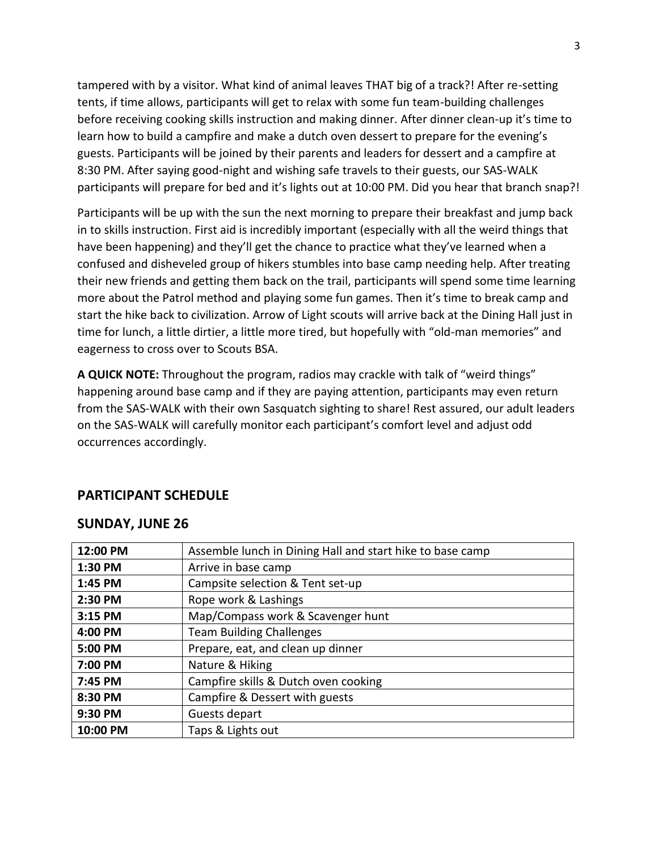tampered with by a visitor. What kind of animal leaves THAT big of a track?! After re-setting tents, if time allows, participants will get to relax with some fun team-building challenges before receiving cooking skills instruction and making dinner. After dinner clean-up it's time to learn how to build a campfire and make a dutch oven dessert to prepare for the evening's guests. Participants will be joined by their parents and leaders for dessert and a campfire at 8:30 PM. After saying good-night and wishing safe travels to their guests, our SAS-WALK participants will prepare for bed and it's lights out at 10:00 PM. Did you hear that branch snap?!

Participants will be up with the sun the next morning to prepare their breakfast and jump back in to skills instruction. First aid is incredibly important (especially with all the weird things that have been happening) and they'll get the chance to practice what they've learned when a confused and disheveled group of hikers stumbles into base camp needing help. After treating their new friends and getting them back on the trail, participants will spend some time learning more about the Patrol method and playing some fun games. Then it's time to break camp and start the hike back to civilization. Arrow of Light scouts will arrive back at the Dining Hall just in time for lunch, a little dirtier, a little more tired, but hopefully with "old-man memories" and eagerness to cross over to Scouts BSA.

**A QUICK NOTE:** Throughout the program, radios may crackle with talk of "weird things" happening around base camp and if they are paying attention, participants may even return from the SAS-WALK with their own Sasquatch sighting to share! Rest assured, our adult leaders on the SAS-WALK will carefully monitor each participant's comfort level and adjust odd occurrences accordingly.

#### **PARTICIPANT SCHEDULE**

#### **SUNDAY, JUNE 26**

| 12:00 PM | Assemble lunch in Dining Hall and start hike to base camp |
|----------|-----------------------------------------------------------|
| 1:30 PM  | Arrive in base camp                                       |
| 1:45 PM  | Campsite selection & Tent set-up                          |
| 2:30 PM  | Rope work & Lashings                                      |
| 3:15 PM  | Map/Compass work & Scavenger hunt                         |
| 4:00 PM  | <b>Team Building Challenges</b>                           |
| 5:00 PM  | Prepare, eat, and clean up dinner                         |
| 7:00 PM  | Nature & Hiking                                           |
| 7:45 PM  | Campfire skills & Dutch oven cooking                      |
| 8:30 PM  | Campfire & Dessert with guests                            |
| 9:30 PM  | Guests depart                                             |
| 10:00 PM | Taps & Lights out                                         |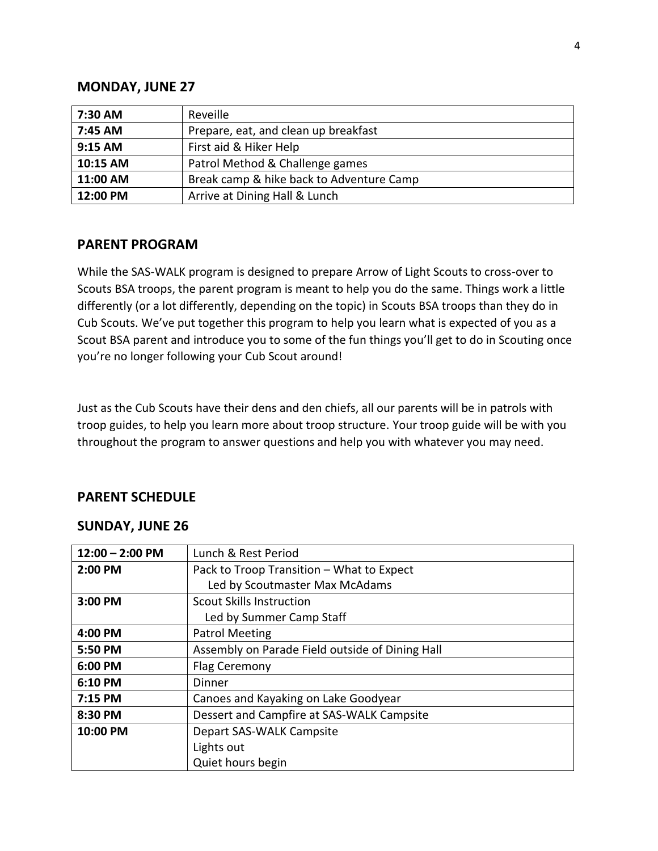#### **MONDAY, JUNE 27**

| 7:30 AM  | Reveille                                 |
|----------|------------------------------------------|
| 7:45 AM  | Prepare, eat, and clean up breakfast     |
| 9:15 AM  | First aid & Hiker Help                   |
| 10:15 AM | Patrol Method & Challenge games          |
| 11:00 AM | Break camp & hike back to Adventure Camp |
| 12:00 PM | Arrive at Dining Hall & Lunch            |

#### **PARENT PROGRAM**

While the SAS-WALK program is designed to prepare Arrow of Light Scouts to cross-over to Scouts BSA troops, the parent program is meant to help you do the same. Things work a little differently (or a lot differently, depending on the topic) in Scouts BSA troops than they do in Cub Scouts. We've put together this program to help you learn what is expected of you as a Scout BSA parent and introduce you to some of the fun things you'll get to do in Scouting once you're no longer following your Cub Scout around!

Just as the Cub Scouts have their dens and den chiefs, all our parents will be in patrols with troop guides, to help you learn more about troop structure. Your troop guide will be with you throughout the program to answer questions and help you with whatever you may need.

#### **PARENT SCHEDULE**

#### **SUNDAY, JUNE 26**

| $12:00 - 2:00$ PM | Lunch & Rest Period                             |
|-------------------|-------------------------------------------------|
| 2:00 PM           | Pack to Troop Transition - What to Expect       |
|                   | Led by Scoutmaster Max McAdams                  |
| 3:00 PM           | <b>Scout Skills Instruction</b>                 |
|                   | Led by Summer Camp Staff                        |
| 4:00 PM           | <b>Patrol Meeting</b>                           |
| 5:50 PM           | Assembly on Parade Field outside of Dining Hall |
| 6:00 PM           | Flag Ceremony                                   |
| 6:10 PM           | Dinner                                          |
| 7:15 PM           | Canoes and Kayaking on Lake Goodyear            |
| 8:30 PM           | Dessert and Campfire at SAS-WALK Campsite       |
| 10:00 PM          | Depart SAS-WALK Campsite                        |
|                   | Lights out                                      |
|                   | Quiet hours begin                               |